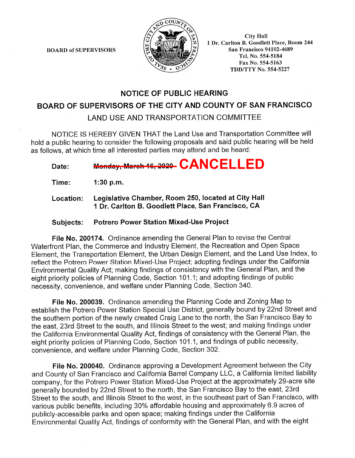**BOARD of SUPERVISORS** 



**City Hall** 1 Dr. Carlton B. Goodlett Place, Room 244 San Francisco 94102-4689 Tel. No. 554-5184 Fax No. 554-5163 **TDD/TTY No. 554-5227** 

# **NOTICE OF PUBLIC HEARING**

## BOARD OF SUPERVISORS OF THE CITY AND COUNTY OF SAN FRANCISCO

LAND USE AND TRANSPORTATION COMMITTEE

NOTICE IS HEREBY GIVEN THAT the Land Use and Transportation Committee will hold a public hearing to consider the following proposals and said public hearing will be held as follows, at which time all interested parties may attend and be heard:

Monday, March 16, 2020- CANCELLED Date:

Time:  $1:30 p.m.$ 

Legislative Chamber, Room 250, located at City Hall Location: 1 Dr. Carlton B. Goodlett Place, San Francisco, CA

#### **Potrero Power Station Mixed-Use Project Subjects:**

File No. 200174. Ordinance amending the General Plan to revise the Central Waterfront Plan, the Commerce and Industry Element, the Recreation and Open Space Element, the Transportation Element, the Urban Design Element, and the Land Use Index, to reflect the Potrero Power Station Mixed-Use Project; adopting findings under the California Environmental Quality Act; making findings of consistency with the General Plan, and the eight priority policies of Planning Code, Section 101.1; and adopting findings of public necessity, convenience, and welfare under Planning Code, Section 340.

File No. 200039. Ordinance amending the Planning Code and Zoning Map to establish the Potrero Power Station Special Use District, generally bound by 22nd Street and the southern portion of the newly created Craig Lane to the north, the San Francisco Bay to the east, 23rd Street to the south, and Illinois Street to the west; and making findings under the California Environmental Quality Act, findings of consistency with the General Plan, the eight priority policies of Planning Code, Section 101.1, and findings of public necessity, convenience, and welfare under Planning Code, Section 302.

File No. 200040. Ordinance approving a Development Agreement between the City and County of San Francisco and California Barrel Company LLC, a California limited liability company, for the Potrero Power Station Mixed-Use Project at the approximately 29-acre site generally bounded by 22nd Street to the north, the San Francisco Bay to the east, 23rd Street to the south, and Illinois Street to the west, in the southeast part of San Francisco, with various public benefits, including 30% affordable housing and approximately 6.9 acres of publicly-accessible parks and open space; making findings under the California Environmental Quality Act, findings of conformity with the General Plan, and with the eight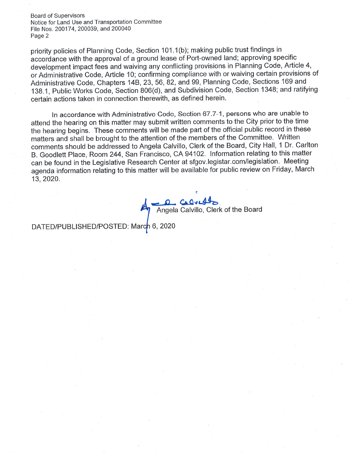**Board of Supervisors** Notice for Land Use and Transportation Committee File Nos. 200174, 200039, and 200040 Page 2

priority policies of Planning Code, Section 101.1(b); making public trust findings in accordance with the approval of a ground lease of Port-owned land; approving specific development impact fees and waiving any conflicting provisions in Planning Code, Article 4, or Administrative Code, Article 10; confirming compliance with or waiving certain provisions of Administrative Code, Chapters 14B, 23, 56, 82, and 99, Planning Code, Sections 169 and 138.1, Public Works Code, Section 806(d), and Subdivision Code, Section 1348; and ratifying certain actions taken in connection therewith, as defined herein.

In accordance with Administrative Code, Section 67.7-1, persons who are unable to attend the hearing on this matter may submit written comments to the City prior to the time the hearing begins. These comments will be made part of the official public record in these matters and shall be brought to the attention of the members of the Committee. Written comments should be addressed to Angela Calvillo, Clerk of the Board, City Hall, 1 Dr. Carlton B. Goodlett Place, Room 244, San Francisco, CA 94102. Information relating to this matter can be found in the Legislative Research Center at sfgov.legistar.com/legislation. Meeting agenda information relating to this matter will be available for public review on Friday, March 13.2020.

Calvidon Angela Calvillo, Clerk of the Board

DATED/PUBLISHED/POSTED: March 6, 2020